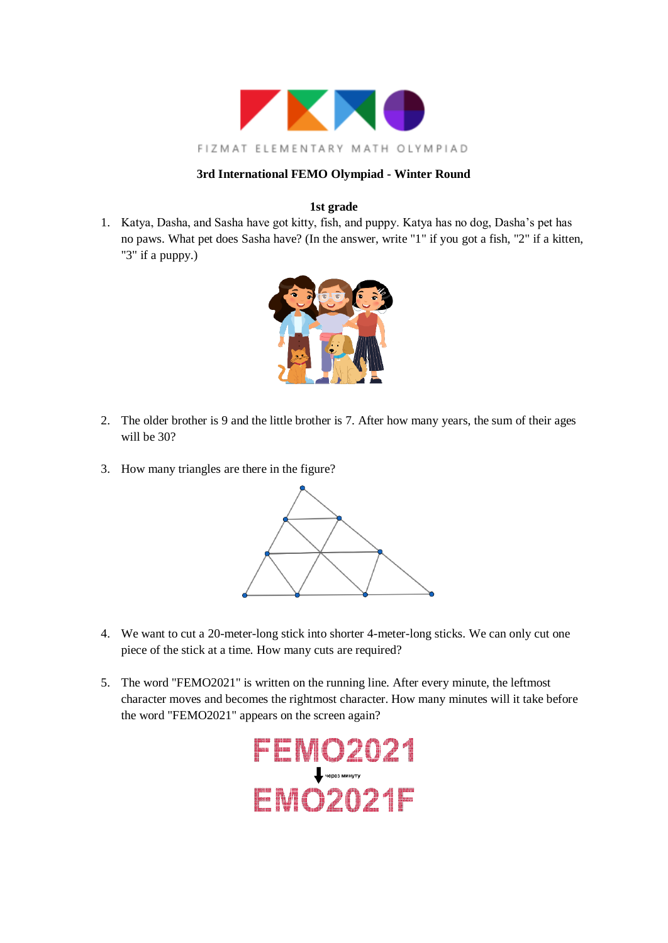

## **1st grade**

1. Katya, Dasha, and Sasha have got kitty, fish, and puppy. Katya has no dog, Dasha's pet has no paws. What pet does Sasha have? (In the answer, write "1" if you got a fish, "2" if a kitten, "3" if a puppy.)



- 2. The older brother is 9 and the little brother is 7. After how many years, the sum of their ages will be 30?
- 3. How many triangles are there in the figure?



- 4. We want to cut a 20-meter-long stick into shorter 4-meter-long sticks. We can only cut one piece of the stick at a time. How many cuts are required?
- 5. The word "FEMO2021" is written on the running line. After every minute, the leftmost character moves and becomes the rightmost character. How many minutes will it take before the word "FEMO2021" appears on the screen again?

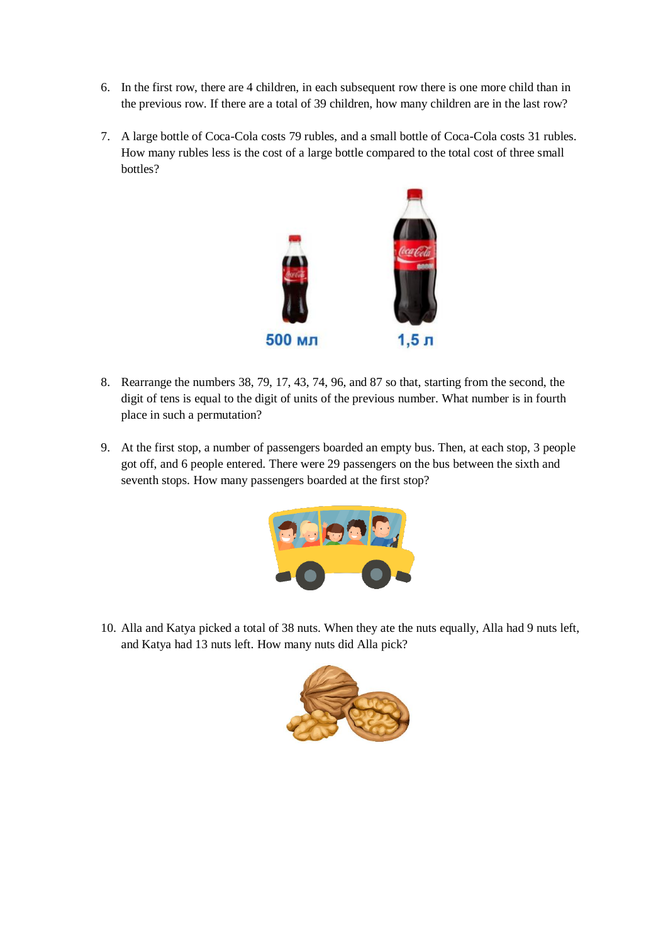- 6. In the first row, there are 4 children, in each subsequent row there is one more child than in the previous row. If there are a total of 39 children, how many children are in the last row?
- 7. A large bottle of Coca-Cola costs 79 rubles, and a small bottle of Coca-Cola costs 31 rubles. How many rubles less is the cost of a large bottle compared to the total cost of three small bottles?



- 8. Rearrange the numbers 38, 79, 17, 43, 74, 96, and 87 so that, starting from the second, the digit of tens is equal to the digit of units of the previous number. What number is in fourth place in such a permutation?
- 9. At the first stop, a number of passengers boarded an empty bus. Then, at each stop, 3 people got off, and 6 people entered. There were 29 passengers on the bus between the sixth and seventh stops. How many passengers boarded at the first stop?



10. Alla and Katya picked a total of 38 nuts. When they ate the nuts equally, Alla had 9 nuts left, and Katya had 13 nuts left. How many nuts did Alla pick?

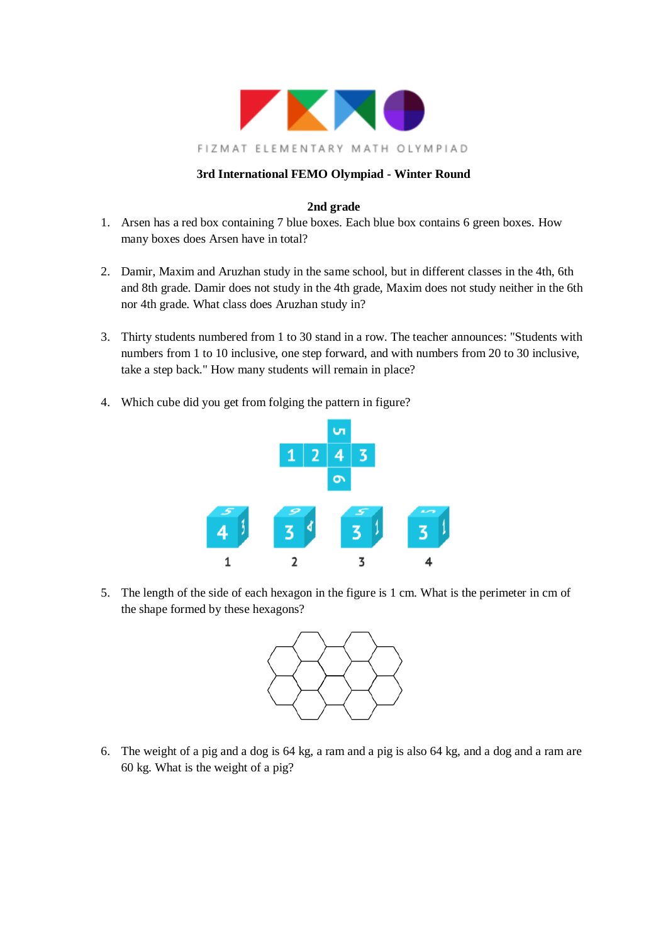

## **2nd grade**

- 1. Arsen has a red box containing 7 blue boxes. Each blue box contains 6 green boxes. How many boxes does Arsen have in total?
- 2. Damir, Maxim and Aruzhan study in the same school, but in different classes in the 4th, 6th and 8th grade. Damir does not study in the 4th grade, Maxim does not study neither in the 6th nor 4th grade. What class does Aruzhan study in?
- 3. Thirty students numbered from 1 to 30 stand in a row. The teacher announces: "Students with numbers from 1 to 10 inclusive, one step forward, and with numbers from 20 to 30 inclusive, take a step back." How many students will remain in place?
- 4. Which cube did you get from folging the pattern in figure?



5. The length of the side of each hexagon in the figure is 1 cm. What is the perimeter in cm of the shape formed by these hexagons?



6. The weight of a pig and a dog is 64 kg, a ram and a pig is also 64 kg, and a dog and a ram are 60 kg. What is the weight of a pig?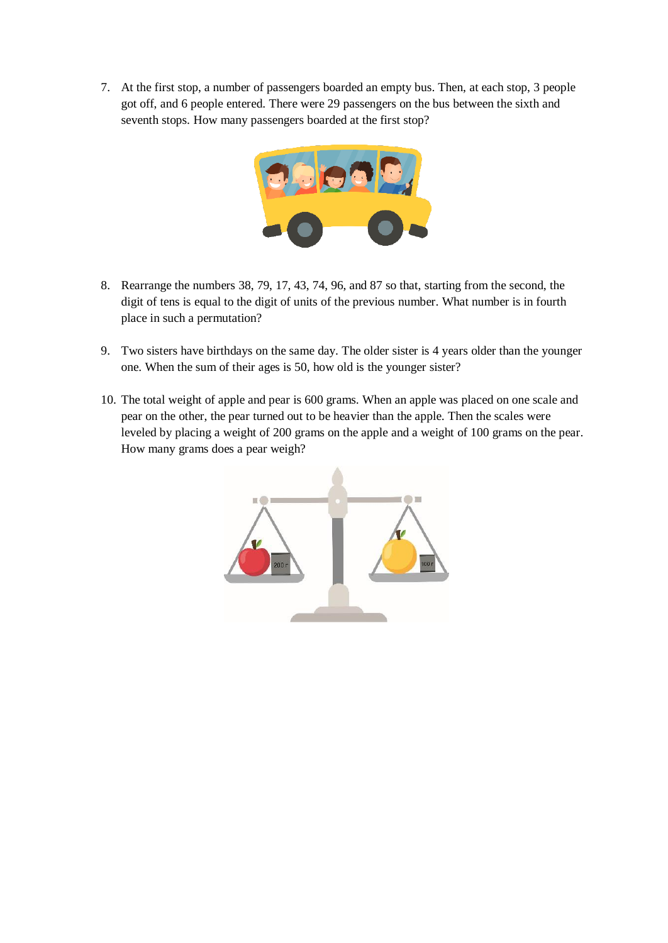7. At the first stop, a number of passengers boarded an empty bus. Then, at each stop, 3 people got off, and 6 people entered. There were 29 passengers on the bus between the sixth and seventh stops. How many passengers boarded at the first stop?



- 8. Rearrange the numbers 38, 79, 17, 43, 74, 96, and 87 so that, starting from the second, the digit of tens is equal to the digit of units of the previous number. What number is in fourth place in such a permutation?
- 9. Two sisters have birthdays on the same day. The older sister is 4 years older than the younger one. When the sum of their ages is 50, how old is the younger sister?
- 10. The total weight of apple and pear is 600 grams. When an apple was placed on one scale and pear on the other, the pear turned out to be heavier than the apple. Then the scales were leveled by placing a weight of 200 grams on the apple and a weight of 100 grams on the pear. How many grams does a pear weigh?

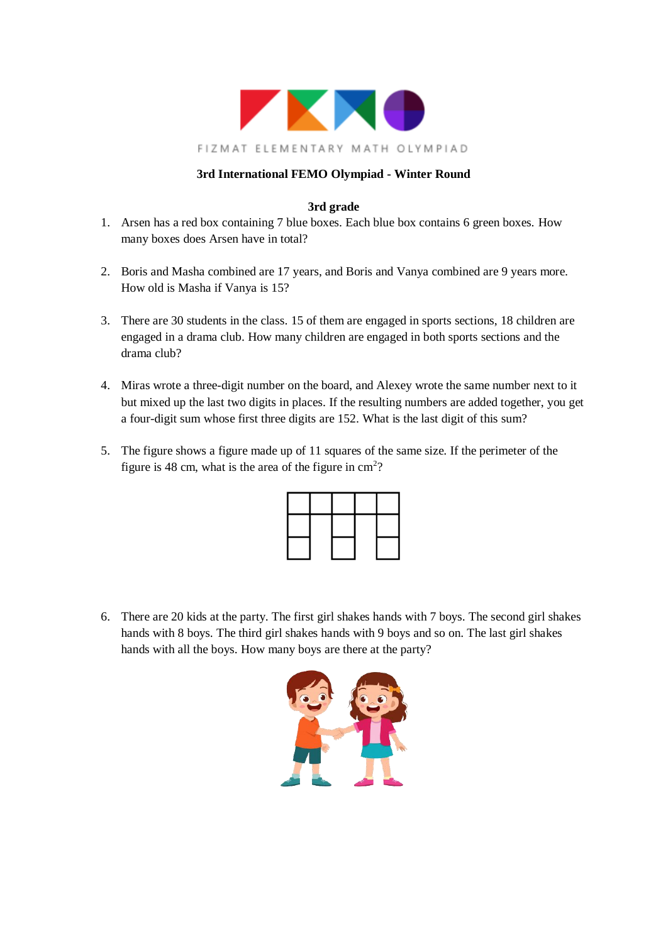

# **3rd grade**

- 1. Arsen has a red box containing 7 blue boxes. Each blue box contains 6 green boxes. How many boxes does Arsen have in total?
- 2. Boris and Masha combined are 17 years, and Boris and Vanya combined are 9 years more. How old is Masha if Vanya is 15?
- 3. There are 30 students in the class. 15 of them are engaged in sports sections, 18 children are engaged in a drama club. How many children are engaged in both sports sections and the drama club?
- 4. Miras wrote a three-digit number on the board, and Alexey wrote the same number next to it but mixed up the last two digits in places. If the resulting numbers are added together, you get a four-digit sum whose first three digits are 152. What is the last digit of this sum?
- 5. The figure shows a figure made up of 11 squares of the same size. If the perimeter of the figure is 48 cm, what is the area of the figure in  $\text{cm}^2$ ?

6. There are 20 kids at the party. The first girl shakes hands with 7 boys. The second girl shakes hands with 8 boys. The third girl shakes hands with 9 boys and so on. The last girl shakes hands with all the boys. How many boys are there at the party?

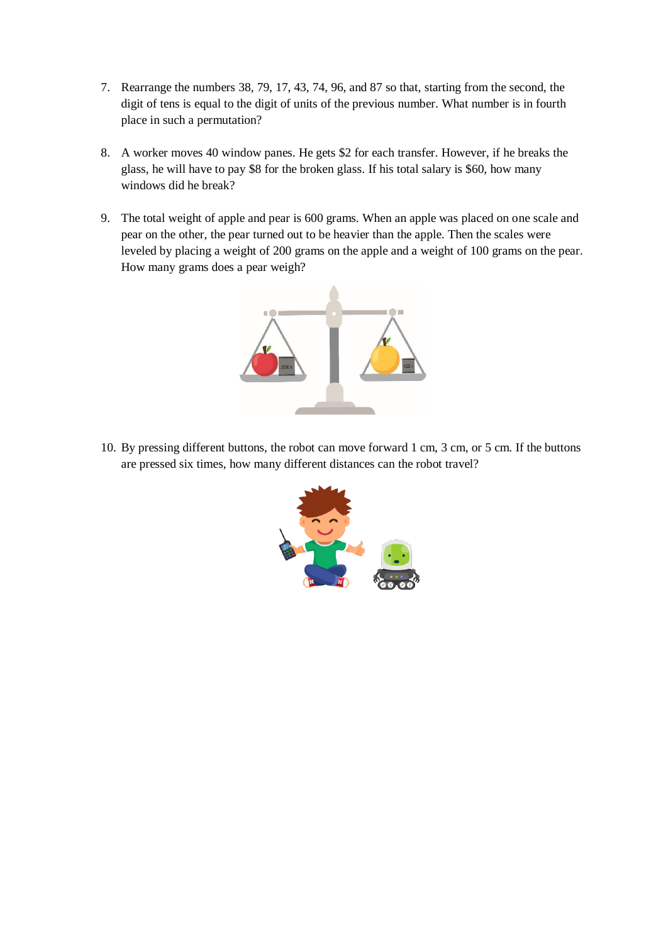- 7. Rearrange the numbers 38, 79, 17, 43, 74, 96, and 87 so that, starting from the second, the digit of tens is equal to the digit of units of the previous number. What number is in fourth place in such a permutation?
- 8. A worker moves 40 window panes. He gets \$2 for each transfer. However, if he breaks the glass, he will have to pay \$8 for the broken glass. If his total salary is \$60, how many windows did he break?
- 9. The total weight of apple and pear is 600 grams. When an apple was placed on one scale and pear on the other, the pear turned out to be heavier than the apple. Then the scales were leveled by placing a weight of 200 grams on the apple and a weight of 100 grams on the pear. How many grams does a pear weigh?



10. By pressing different buttons, the robot can move forward 1 cm, 3 cm, or 5 cm. If the buttons are pressed six times, how many different distances can the robot travel?

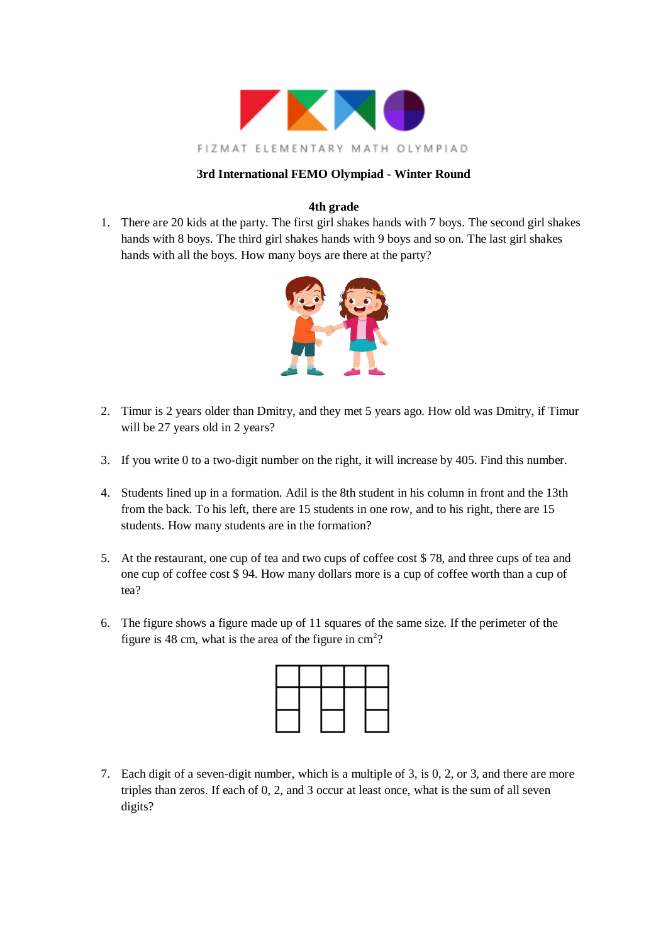

## **4th grade**

1. There are 20 kids at the party. The first girl shakes hands with 7 boys. The second girl shakes hands with 8 boys. The third girl shakes hands with 9 boys and so on. The last girl shakes hands with all the boys. How many boys are there at the party?



- 2. Timur is 2 years older than Dmitry, and they met 5 years ago. How old was Dmitry, if Timur will be 27 years old in 2 years?
- 3. If you write 0 to a two-digit number on the right, it will increase by 405. Find this number.
- 4. Students lined up in a formation. Adil is the 8th student in his column in front and the 13th from the back. To his left, there are 15 students in one row, and to his right, there are 15 students. How many students are in the formation?
- 5. At the restaurant, one cup of tea and two cups of coffee cost \$ 78, and three cups of tea and one cup of coffee cost \$ 94. How many dollars more is a cup of coffee worth than a cup of tea?
- 6. The figure shows a figure made up of 11 squares of the same size. If the perimeter of the figure is 48 cm, what is the area of the figure in  $\text{cm}^2$ ?

7. Each digit of a seven-digit number, which is a multiple of 3, is 0, 2, or 3, and there are more triples than zeros. If each of 0, 2, and 3 occur at least once, what is the sum of all seven digits?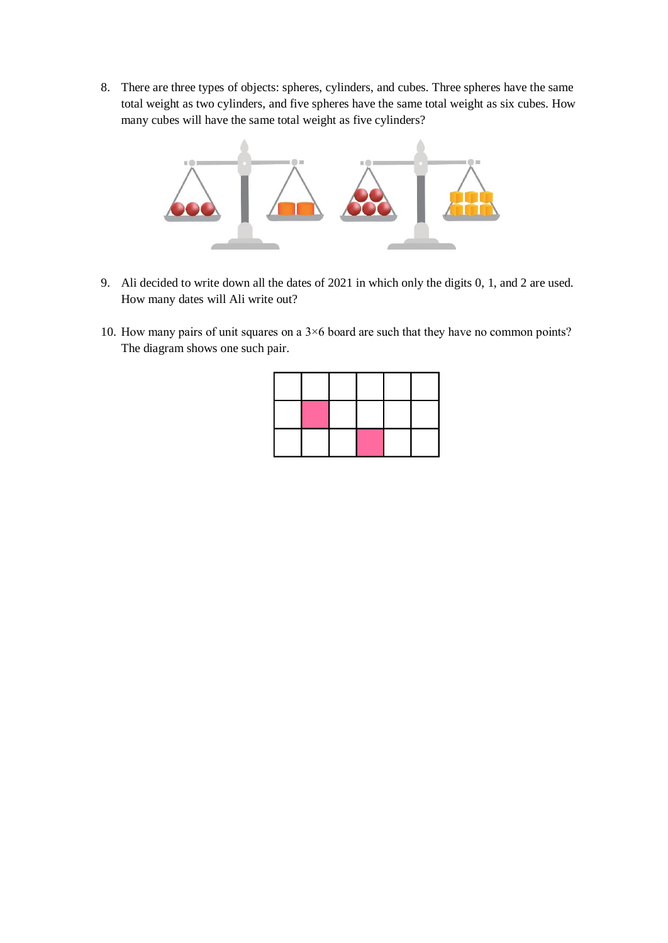8. There are three types of objects: spheres, cylinders, and cubes. Three spheres have the same total weight as two cylinders, and five spheres have the same total weight as six cubes. How many cubes will have the same total weight as five cylinders?



- 9. Ali decided to write down all the dates of 2021 in which only the digits 0, 1, and 2 are used. How many dates will Ali write out?
- 10. How many pairs of unit squares on a 3×6 board are such that they have no common points? The diagram shows one such pair.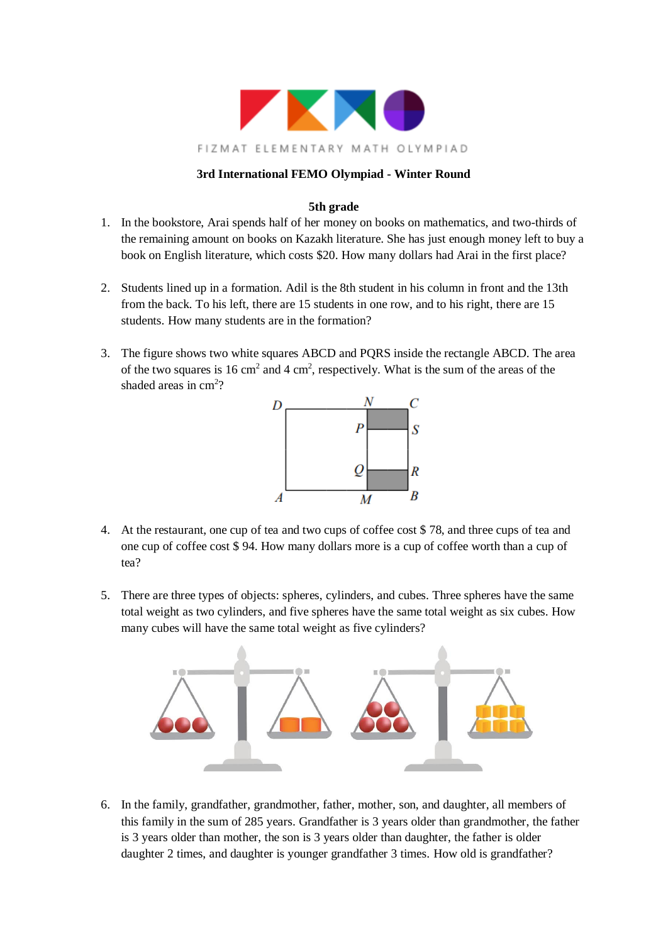

# **5th grade**

- 1. In the bookstore, Arai spends half of her money on books on mathematics, and two-thirds of the remaining amount on books on Kazakh literature. She has just enough money left to buy a book on English literature, which costs \$20. How many dollars had Arai in the first place?
- 2. Students lined up in a formation. Adil is the 8th student in his column in front and the 13th from the back. To his left, there are 15 students in one row, and to his right, there are 15 students. How many students are in the formation?
- 3. The figure shows two white squares ABCD and PQRS inside the rectangle ABCD. The area of the two squares is 16 cm<sup>2</sup> and 4 cm<sup>2</sup>, respectively. What is the sum of the areas of the shaded areas in cm<sup>2</sup>?



- 4. At the restaurant, one cup of tea and two cups of coffee cost \$ 78, and three cups of tea and one cup of coffee cost \$ 94. How many dollars more is a cup of coffee worth than a cup of tea?
- 5. There are three types of objects: spheres, cylinders, and cubes. Three spheres have the same total weight as two cylinders, and five spheres have the same total weight as six cubes. How many cubes will have the same total weight as five cylinders?



6. In the family, grandfather, grandmother, father, mother, son, and daughter, all members of this family in the sum of 285 years. Grandfather is 3 years older than grandmother, the father is 3 years older than mother, the son is 3 years older than daughter, the father is older daughter 2 times, and daughter is younger grandfather 3 times. How old is grandfather?